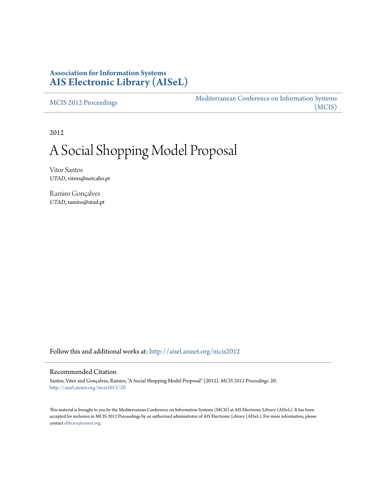## **Association for Information Systems [AIS Electronic Library \(AISeL\)](http://aisel.aisnet.org?utm_source=aisel.aisnet.org%2Fmcis2012%2F20&utm_medium=PDF&utm_campaign=PDFCoverPages)**

[MCIS 2012 Proceedings](http://aisel.aisnet.org/mcis2012?utm_source=aisel.aisnet.org%2Fmcis2012%2F20&utm_medium=PDF&utm_campaign=PDFCoverPages)

[Mediterranean Conference on Information Systems](http://aisel.aisnet.org/mcis?utm_source=aisel.aisnet.org%2Fmcis2012%2F20&utm_medium=PDF&utm_campaign=PDFCoverPages) [\(MCIS\)](http://aisel.aisnet.org/mcis?utm_source=aisel.aisnet.org%2Fmcis2012%2F20&utm_medium=PDF&utm_campaign=PDFCoverPages)

2012

# A Social Shopping Model Proposal

Vitor Santos *UTAD*, vitors@netcabo.pt

Ramiro Gonçalves *UTAD*, ramiro@utad.pt

Follow this and additional works at: [http://aisel.aisnet.org/mcis2012](http://aisel.aisnet.org/mcis2012?utm_source=aisel.aisnet.org%2Fmcis2012%2F20&utm_medium=PDF&utm_campaign=PDFCoverPages)

#### Recommended Citation

Santos, Vitor and Gonçalves, Ramiro, "A Social Shopping Model Proposal" (2012). *MCIS 2012 Proceedings*. 20. [http://aisel.aisnet.org/mcis2012/20](http://aisel.aisnet.org/mcis2012/20?utm_source=aisel.aisnet.org%2Fmcis2012%2F20&utm_medium=PDF&utm_campaign=PDFCoverPages)

This material is brought to you by the Mediterranean Conference on Information Systems (MCIS) at AIS Electronic Library (AISeL). It has been accepted for inclusion in MCIS 2012 Proceedings by an authorized administrator of AIS Electronic Library (AISeL). For more information, please contact [elibrary@aisnet.org.](mailto:elibrary@aisnet.org%3E)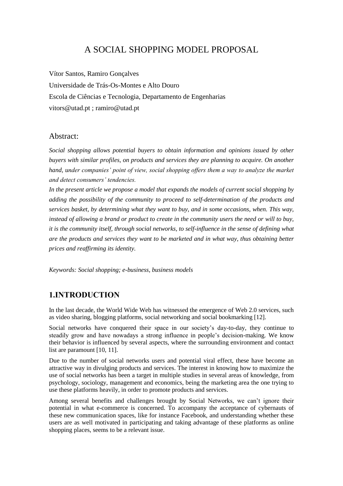## A SOCIAL SHOPPING MODEL PROPOSAL

Vítor Santos, Ramiro Gonçalves Universidade de Trás-Os-Montes e Alto Douro Escola de Ciências e Tecnologia, Departamento de Engenharias [vitors@utad.pt](mailto:vitors@utad.pt) ; [ramiro@utad.pt](mailto:ramiro@utad.pt)

#### Abstract:

*Social shopping allows potential buyers to obtain information and opinions issued by other buyers with similar profiles, on products and services they are planning to acquire. On another hand, under companies' point of view, social shopping offers them a way to analyze the market and detect consumers' tendencies.*

In the present article we propose a model that expands the models of current social shopping by *adding the possibility of the community to proceed to self-determination of the products and services basket, by determining what they want to buy, and in some occasions, when. This way, instead of allowing a brand or product to create in the community users the need or will to buy, it is the community itself, through social networks, to self-influence in the sense of defining what are the products and services they want to be marketed and in what way, thus obtaining better prices and reaffirming its identity.*

*Keywords: Social shopping; e-business, business models*

#### **1.INTRODUCTION**

In the last decade, the World Wide Web has witnessed the emergence of Web 2.0 services, such as video sharing, blogging platforms, social networking and social bookmarking [12].

Social networks have conquered their space in our society's day-to-day, they continue to steadily grow and have nowadays a strong influence in people's decision-making. We know their behavior is influenced by several aspects, where the surrounding environment and contact list are paramount [10, 11].

Due to the number of social networks users and potential viral effect, these have become an attractive way in divulging products and services. The interest in knowing how to maximize the use of social networks has been a target in multiple studies in several areas of knowledge, from psychology, sociology, management and economics, being the marketing area the one trying to use these platforms heavily, in order to promote products and services.

Among several benefits and challenges brought by Social Networks, we can't ignore their potential in what e-commerce is concerned. To accompany the acceptance of cybernauts of these new communication spaces, like for instance Facebook, and understanding whether these users are as well motivated in participating and taking advantage of these platforms as online shopping places, seems to be a relevant issue.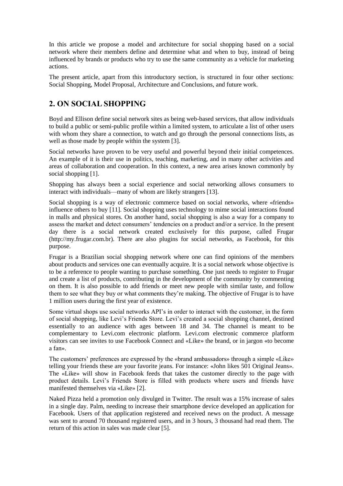In this article we propose a model and architecture for social shopping based on a social network where their members define and determine what and when to buy, instead of being influenced by brands or products who try to use the same community as a vehicle for marketing actions.

The present article, apart from this introductory section, is structured in four other sections: Social Shopping, Model Proposal, Architecture and Conclusions, and future work.

#### **2. ON SOCIAL SHOPPING**

Boyd and Ellison define social network sites as being web-based services, that allow individuals to build a public or semi-public profile within a limited system, to articulate a list of other users with whom they share a connection, to watch and go through the personal connections lists, as well as those made by people within the system [3].

Social networks have proven to be very useful and powerful beyond their initial competences. An example of it is their use in politics, teaching, marketing, and in many other activities and areas of collaboration and cooperation. In this context, a new area arises known commonly by social shopping [1].

Shopping has always been a social experience and social networking allows consumers to interact with individuals—many of whom are likely strangers [13].

Social shopping is a way of electronic commerce based on social networks, where «friends» influence others to buy [11]. Social shopping uses technology to mime social interactions found in malls and physical stores. On another hand, social shopping is also a way for a company to assess the market and detect consumers' tendencies on a product and/or a service. In the present day there is a social network created exclusively for this purpose, called Frugar [\(http://my.frugar.com.br\)](http://my.frugar.com.br/). There are also plugins for social networks, as Facebook, for this purpose.

Frugar is a Brazilian social shopping network where one can find opinions of the members about products and services one can eventually acquire. It is a social network whose objective is to be a reference to people wanting to purchase something. One just needs to register to Frugar and create a list of products, contributing in the development of the community by commenting on them. It is also possible to add friends or meet new people with similar taste, and follow them to see what they buy or what comments they're making. The objective of Frugar is to have 1 million users during the first year of existence.

Some virtual shops use social networks API's in order to interact with the customer, in the form of social shopping, like Levi's Friends Store. Levi's created a social shopping channel, destined essentially to an audience with ages between 18 and 34. The channel is meant to be complementary to Levi.com electronic platform. Levi.com electronic commerce platform visitors can see invites to use Facebook Connect and «Like» the brand, or in jargon «to become a fan».

The customers' preferences are expressed by the «brand ambassadors» through a simple «Like» telling your friends these are your favorite jeans. For instance: «John likes 501 Original Jeans». The «Like» will show in Facebook feeds that takes the customer directly to the page with product details. Levi's Friends Store is filled with products where users and friends have manifested themselves via «Like» [2].

Naked Pizza held a promotion only divulged in Twitter. The result was a 15% increase of sales in a single day. Palm, needing to increase their smartphone device developed an application for Facebook. Users of that application registered and received news on the product. A message was sent to around 70 thousand registered users, and in 3 hours, 3 thousand had read them. The return of this action in sales was made clear [5].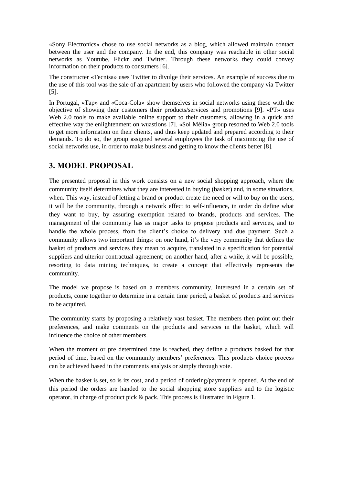«Sony Electronics» chose to use social networks as a blog, which allowed maintain contact between the user and the company. In the end, this company was reachable in other social networks as Youtube, Flickr and Twitter. Through these networks they could convey information on their products to consumers [6].

The constructer «Tecnisa» uses Twitter to divulge their services. An example of success due to the use of this tool was the sale of an apartment by users who followed the company via Twitter [5].

In Portugal, «Tap» and «Coca-Cola» show themselves in social networks using these with the objective of showing their customers their products/services and promotions [9]. «PT» uses Web 2.0 tools to make available online support to their customers, allowing in a quick and effective way the enlightenment on wuastions [7]. «Sol Mélia» group resorted to Web 2.0 tools to get more information on their clients, and thus keep updated and prepared according to their demands. To do so, the group assigned several employees the task of maximizing the use of social networks use, in order to make business and getting to know the clients better [8].

#### **3. MODEL PROPOSAL**

The presented proposal in this work consists on a new social shopping approach, where the community itself determines what they are interested in buying (basket) and, in some situations, when. This way, instead of letting a brand or product create the need or will to buy on the users, it will be the community, through a network effect to self-influence, in order do define what they want to buy, by assuring exemption related to brands, products and services. The management of the community has as major tasks to propose products and services, and to handle the whole process, from the client's choice to delivery and due payment. Such a community allows two important things: on one hand, it's the very community that defines the basket of products and services they mean to acquire, translated in a specification for potential suppliers and ulterior contractual agreement; on another hand, after a while, it will be possible, resorting to data mining techniques, to create a concept that effectively represents the community.

The model we propose is based on a members community, interested in a certain set of products, come together to determine in a certain time period, a basket of products and services to be acquired.

The community starts by proposing a relatively vast basket. The members then point out their preferences, and make comments on the products and services in the basket, which will influence the choice of other members.

When the moment or pre determined date is reached, they define a products basked for that period of time, based on the community members' preferences. This products choice process can be achieved based in the comments analysis or simply through vote.

When the basket is set, so is its cost, and a period of ordering/payment is opened. At the end of this period the orders are handed to the social shopping store suppliers and to the logistic operator, in charge of product pick & pack. This process is illustrated in Figure 1.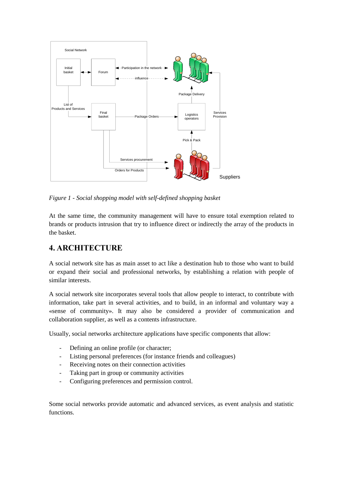

*Figure 1 - Social shopping model with self-defined shopping basket*

At the same time, the community management will have to ensure total exemption related to brands or products intrusion that try to influence direct or indirectly the array of the products in the basket.

## **4. ARCHITECTURE**

A social network site has as main asset to act like a destination hub to those who want to build or expand their social and professional networks, by establishing a relation with people of similar interests.

A social network site incorporates several tools that allow people to interact, to contribute with information, take part in several activities, and to build, in an informal and voluntary way a «sense of community». It may also be considered a provider of communication and collaboration supplier, as well as a contents infrastructure.

Usually, social networks architecture applications have specific components that allow:

- Defining an online profile (or character;
- Listing personal preferences (for instance friends and colleagues)
- Receiving notes on their connection activities
- Taking part in group or community activities
- Configuring preferences and permission control.

Some social networks provide automatic and advanced services, as event analysis and statistic functions.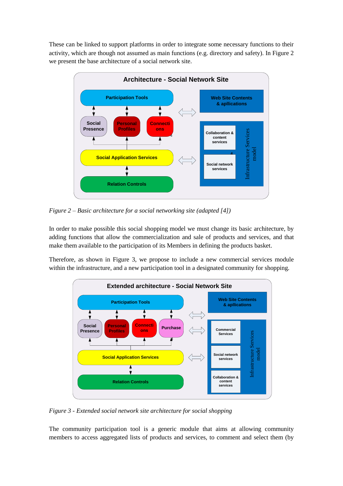These can be linked to support platforms in order to integrate some necessary functions to their activity, which are though not assumed as main functions (e.g. directory and safety). In Figure 2 we present the base architecture of a social network site.



*Figure 2 – Basic architecture for a social networking site (adapted [4])*

In order to make possible this social shopping model we must change its basic architecture, by adding functions that allow the commercialization and sale of products and services, and that make them available to the participation of its Members in defining the products basket.

Therefore, as shown in Figure 3, we propose to include a new commercial services module within the infrastructure, and a new participation tool in a designated community for shopping.



*Figure 3 - Extended social network site architecture for social shopping*

The community participation tool is a generic module that aims at allowing community members to access aggregated lists of products and services, to comment and select them (by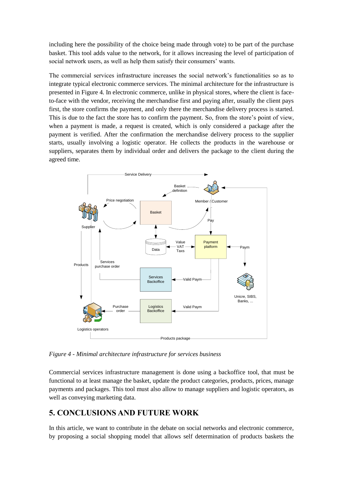including here the possibility of the choice being made through vote) to be part of the purchase basket. This tool adds value to the network, for it allows increasing the level of participation of social network users, as well as help them satisfy their consumers' wants.

The commercial services infrastructure increases the social network's functionalities so as to integrate typical electronic commerce services. The minimal architecture for the infrastructure is presented in Figure 4. In electronic commerce, unlike in physical stores, where the client is faceto-face with the vendor, receiving the merchandise first and paying after, usually the client pays first, the store confirms the payment, and only there the merchandise delivery process is started. This is due to the fact the store has to confirm the payment. So, from the store's point of view, when a payment is made, a request is created, which is only considered a package after the payment is verified. After the confirmation the merchandise delivery process to the supplier starts, usually involving a logistic operator. He collects the products in the warehouse or suppliers, separates them by individual order and delivers the package to the client during the agreed time.



*Figure 4 - Minimal architecture infrastructure for services business*

Commercial services infrastructure management is done using a backoffice tool, that must be functional to at least manage the basket, update the product categories, products, prices, manage payments and packages. This tool must also allow to manage suppliers and logistic operators, as well as conveying marketing data.

## **5. CONCLUSIONS AND FUTURE WORK**

In this article, we want to contribute in the debate on social networks and electronic commerce, by proposing a social shopping model that allows self determination of products baskets the